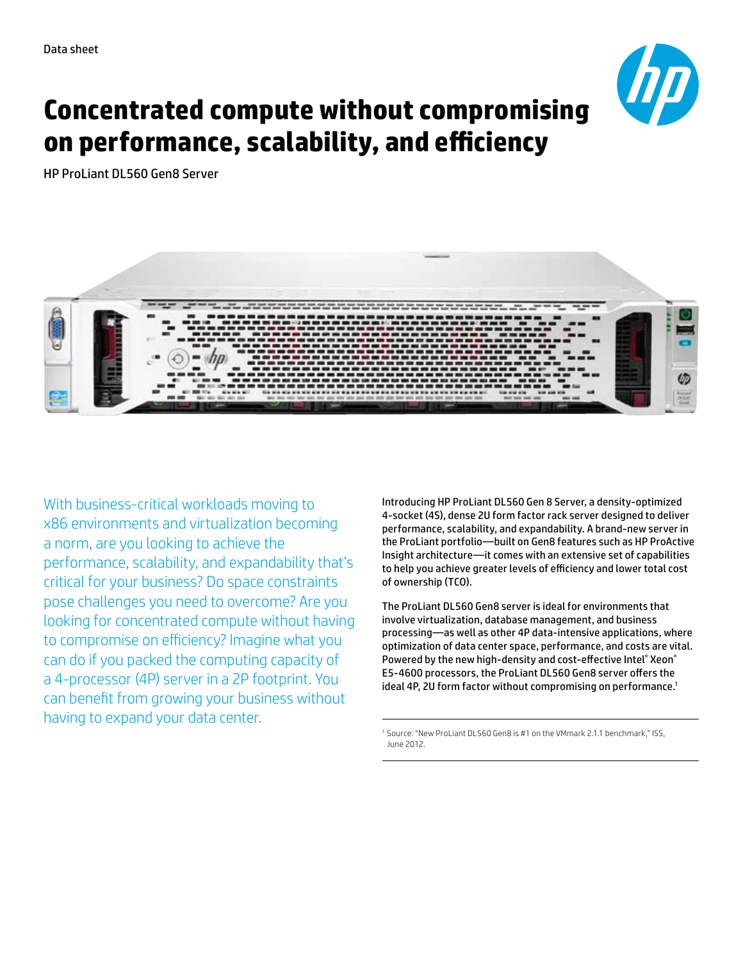

# **Concentrated compute without compromising on performance, scalability, and efficiency**

HP ProLiant DL560 Gen8 Server



With business-critical workloads moving to x86 environments and virtualization becoming a norm, are you looking to achieve the performance, scalability, and expandability that's critical for your business? Do space constraints pose challenges you need to overcome? Are you looking for concentrated compute without having to compromise on efficiency? Imagine what you can do if you packed the computing capacity of a 4-processor (4P) server in a 2P footprint. You can benefit from growing your business without having to expand your data center.

Introducing HP ProLiant DL560 Gen 8 Server, a density-optimized 4-socket (4S), dense 2U form factor rack server designed to deliver performance, scalability, and expandability. A brand-new server in the ProLiant portfolio—built on Gen8 features such as HP ProActive Insight architecture—it comes with an extensive set of capabilities to help you achieve greater levels of efficiency and lower total cost of ownership (TCO).

The ProLiant DL560 Gen8 server is ideal for environments that involve virtualization, database management, and business processing—as well as other 4P data-intensive applications, where optimization of data center space, performance, and costs are vital. Powered by the new high-density and cost-effective Intel® Xeon® E5-4600 processors, the ProLiant DL560 Gen8 server offers the ideal 4P, 2U form factor without compromising on performance.<sup>1</sup>

<sup>1</sup> Source: "New ProLiant DL560 Gen8 is #1 on the VMmark 2.1.1 benchmark," ISS, June 2012.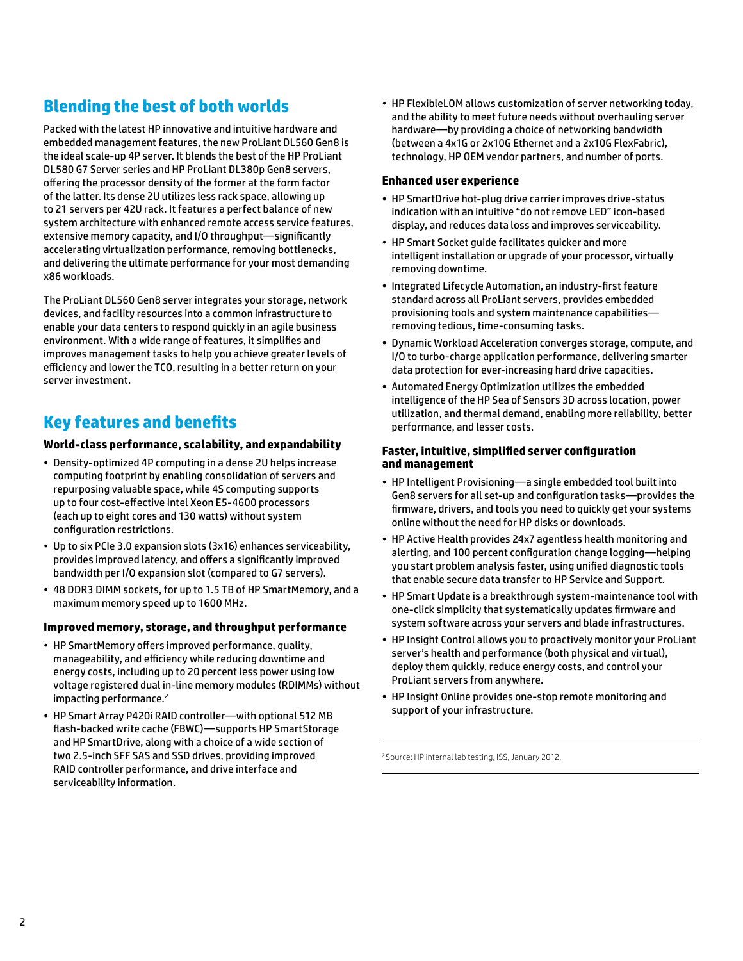### **Blending the best of both worlds**

Packed with the latest HP innovative and intuitive hardware and embedded management features, the new ProLiant DL560 Gen8 is the ideal scale-up 4P server. It blends the best of the HP ProLiant DL580 G7 Server series and HP ProLiant DL380p Gen8 servers, offering the processor density of the former at the form factor of the latter. Its dense 2U utilizes less rack space, allowing up to 21 servers per 42U rack. It features a perfect balance of new system architecture with enhanced remote access service features, extensive memory capacity, and I/O throughput—significantly accelerating virtualization performance, removing bottlenecks, and delivering the ultimate performance for your most demanding x86 workloads.

The ProLiant DL560 Gen8 server integrates your storage, network devices, and facility resources into a common infrastructure to enable your data centers to respond quickly in an agile business environment. With a wide range of features, it simplifies and improves management tasks to help you achieve greater levels of efficiency and lower the TCO, resulting in a better return on your server investment.

### **Key features and benefits**

#### **World-class performance, scalability, and expandability**

- Density-optimized 4P computing in a dense 2U helps increase computing footprint by enabling consolidation of servers and repurposing valuable space, while 4S computing supports up to four cost-effective Intel Xeon E5-4600 processors (each up to eight cores and 130 watts) without system configuration restrictions.
- Up to six PCIe 3.0 expansion slots (3x16) enhances serviceability, provides improved latency, and offers a significantly improved bandwidth per I/O expansion slot (compared to G7 servers).
- 48 DDR3 DIMM sockets, for up to 1.5 TB of HP SmartMemory, and a maximum memory speed up to 1600 MHz.

#### **Improved memory, storage, and throughput performance**

- HP SmartMemory offers improved performance, quality, manageability, and efficiency while reducing downtime and energy costs, including up to 20 percent less power using low voltage registered dual in-line memory modules (RDIMMs) without impacting performance.<sup>2</sup>
- HP Smart Array P420i RAID controller—with optional 512 MB flash-backed write cache (FBWC)—supports HP SmartStorage and HP SmartDrive, along with a choice of a wide section of two 2.5-inch SFF SAS and SSD drives, providing improved RAID controller performance, and drive interface and serviceability information.

• HP FlexibleLOM allows customization of server networking today, and the ability to meet future needs without overhauling server hardware—by providing a choice of networking bandwidth (between a 4x1G or 2x10G Ethernet and a 2x10G FlexFabric), technology, HP OEM vendor partners, and number of ports.

#### **Enhanced user experience**

- HP SmartDrive hot-plug drive carrier improves drive-status indication with an intuitive "do not remove LED" icon-based display, and reduces data loss and improves serviceability.
- HP Smart Socket guide facilitates quicker and more intelligent installation or upgrade of your processor, virtually removing downtime.
- Integrated Lifecycle Automation, an industry-first feature standard across all ProLiant servers, provides embedded provisioning tools and system maintenance capabilities removing tedious, time-consuming tasks.
- Dynamic Workload Acceleration converges storage, compute, and I/O to turbo-charge application performance, delivering smarter data protection for ever-increasing hard drive capacities.
- Automated Energy Optimization utilizes the embedded intelligence of the HP Sea of Sensors 3D across location, power utilization, and thermal demand, enabling more reliability, better performance, and lesser costs.

#### **Faster, intuitive, simplified server configuration and management**

- HP Intelligent Provisioning—a single embedded tool built into Gen8 servers for all set-up and configuration tasks—provides the firmware, drivers, and tools you need to quickly get your systems online without the need for HP disks or downloads.
- HP Active Health provides 24x7 agentless health monitoring and alerting, and 100 percent configuration change logging—helping you start problem analysis faster, using unified diagnostic tools that enable secure data transfer to HP Service and Support.
- HP Smart Update is a breakthrough system-maintenance tool with one-click simplicity that systematically updates firmware and system software across your servers and blade infrastructures.
- HP Insight Control allows you to proactively monitor your ProLiant server's health and performance (both physical and virtual), deploy them quickly, reduce energy costs, and control your ProLiant servers from anywhere.
- HP Insight Online provides one-stop remote monitoring and support of your infrastructure.

<sup>2</sup>Source: HP internal lab testing, ISS, January 2012.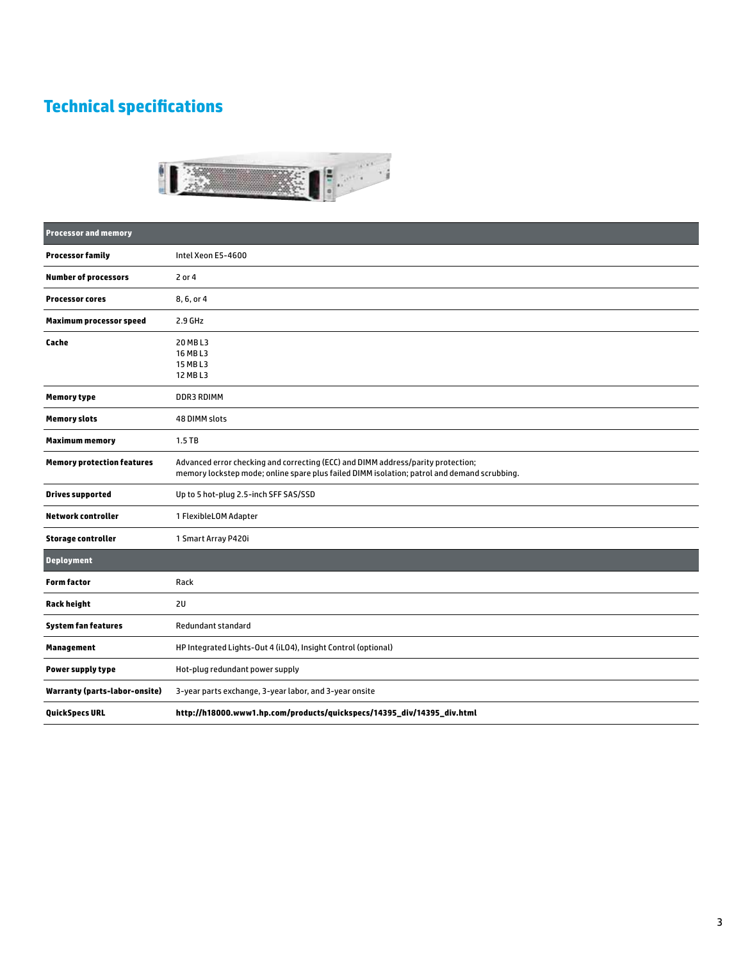## **Technical specifications**



| <b>Processor and memory</b>          |                                                                                                                                                                                 |
|--------------------------------------|---------------------------------------------------------------------------------------------------------------------------------------------------------------------------------|
| <b>Processor family</b>              | Intel Xeon E5-4600                                                                                                                                                              |
| <b>Number of processors</b>          | 2 or 4                                                                                                                                                                          |
| <b>Processor cores</b>               | 8, 6, or 4                                                                                                                                                                      |
| <b>Maximum processor speed</b>       | $2.9$ GHz                                                                                                                                                                       |
| Cache                                | 20 MB L3<br>16 MB L3<br>15 MB L3<br>12 MB L3                                                                                                                                    |
| <b>Memory type</b>                   | DDR3 RDIMM                                                                                                                                                                      |
| <b>Memory slots</b>                  | 48 DIMM slots                                                                                                                                                                   |
| <b>Maximum memory</b>                | $1.5$ TB                                                                                                                                                                        |
| <b>Memory protection features</b>    | Advanced error checking and correcting (ECC) and DIMM address/parity protection;<br>memory lockstep mode; online spare plus failed DIMM isolation; patrol and demand scrubbing. |
| <b>Drives supported</b>              | Up to 5 hot-plug 2.5-inch SFF SAS/SSD                                                                                                                                           |
| <b>Network controller</b>            | 1 FlexibleLOM Adapter                                                                                                                                                           |
| <b>Storage controller</b>            | 1 Smart Array P420i                                                                                                                                                             |
| <b>Deployment</b>                    |                                                                                                                                                                                 |
| <b>Form factor</b>                   | Rack                                                                                                                                                                            |
| <b>Rack height</b>                   | 2U                                                                                                                                                                              |
| <b>System fan features</b>           | Redundant standard                                                                                                                                                              |
| <b>Management</b>                    | HP Integrated Lights-Out 4 (iLO4), Insight Control (optional)                                                                                                                   |
| Power supply type                    | Hot-plug redundant power supply                                                                                                                                                 |
| <b>Warranty (parts-labor-onsite)</b> | 3-year parts exchange, 3-year labor, and 3-year onsite                                                                                                                          |
| <b>QuickSpecs URL</b>                | http://h18000.www1.hp.com/products/quickspecs/14395_div/14395_div.html                                                                                                          |